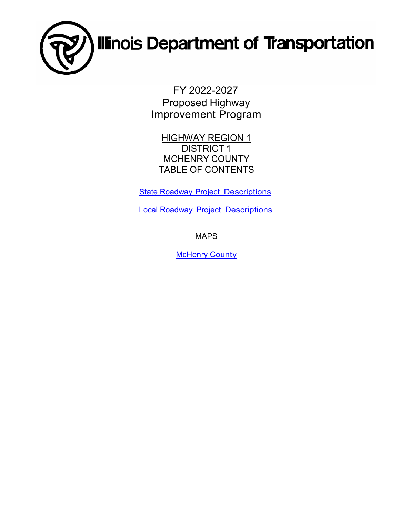

FY 2022-2027 Proposed Highway Improvement Program

**HIGHWAY REGION 1** DISTRICT 1 MCHENRY COUNTY TABLE OF CONTENTS

**State Roadway [Project Descriptions](#page-1-0)** 

Local Roadway [Project Descriptions](#page-10-0)

MAPS

**[McHenry](#page-13-0) County**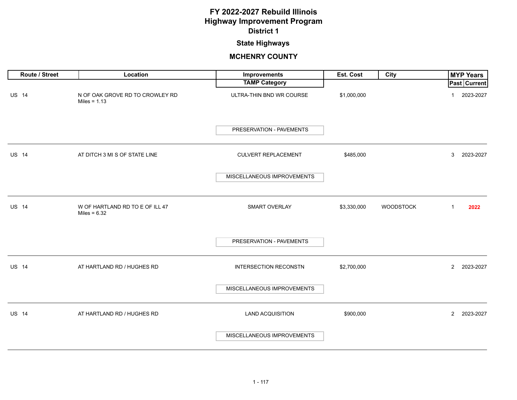# **State Highways**

<span id="page-1-0"></span>

| Route / Street | Location                                          | Improvements                 | Est. Cost   | <b>City</b>      | <b>MYP Years</b>            |
|----------------|---------------------------------------------------|------------------------------|-------------|------------------|-----------------------------|
|                |                                                   | <b>TAMP Category</b>         |             |                  | <b>Past Current</b>         |
| <b>US 14</b>   | N OF OAK GROVE RD TO CROWLEY RD<br>Miles = $1.13$ | ULTRA-THIN BND WR COURSE     | \$1,000,000 |                  | 2023-2027<br>1              |
|                |                                                   | PRESERVATION - PAVEMENTS     |             |                  |                             |
| <b>US 14</b>   | AT DITCH 3 MI S OF STATE LINE                     | CULVERT REPLACEMENT          | \$485,000   |                  | 2023-2027<br>3              |
|                |                                                   | MISCELLANEOUS IMPROVEMENTS   |             |                  |                             |
| <b>US 14</b>   | W OF HARTLAND RD TO E OF ILL 47<br>Miles = $6.32$ | SMART OVERLAY                | \$3,330,000 | <b>WOODSTOCK</b> | 2022<br>$\mathbf{1}$        |
|                |                                                   | PRESERVATION - PAVEMENTS     |             |                  |                             |
| <b>US 14</b>   | AT HARTLAND RD / HUGHES RD                        | <b>INTERSECTION RECONSTN</b> | \$2,700,000 |                  | $2^{\circ}$<br>2023-2027    |
|                |                                                   | MISCELLANEOUS IMPROVEMENTS   |             |                  |                             |
| <b>US 14</b>   | AT HARTLAND RD / HUGHES RD                        | <b>LAND ACQUISITION</b>      | \$900,000   |                  | 2023-2027<br>$\overline{2}$ |
|                |                                                   | MISCELLANEOUS IMPROVEMENTS   |             |                  |                             |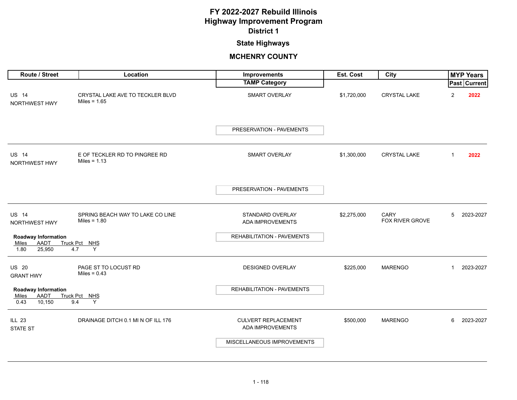# **State Highways**

| Route / Street                                                       | Location                                           | <b>Improvements</b>                            | Est. Cost   | City                    |                | <b>MYP Years</b>    |
|----------------------------------------------------------------------|----------------------------------------------------|------------------------------------------------|-------------|-------------------------|----------------|---------------------|
|                                                                      |                                                    | <b>TAMP Category</b>                           |             |                         |                | <b>Past Current</b> |
| <b>US 14</b><br>NORTHWEST HWY                                        | CRYSTAL LAKE AVE TO TECKLER BLVD<br>Miles = $1.65$ | <b>SMART OVERLAY</b>                           | \$1,720,000 | <b>CRYSTAL LAKE</b>     | $\overline{2}$ | 2022                |
|                                                                      |                                                    | PRESERVATION - PAVEMENTS                       |             |                         |                |                     |
| <b>US 14</b><br>NORTHWEST HWY                                        | E OF TECKLER RD TO PINGREE RD<br>Miles = $1.13$    | <b>SMART OVERLAY</b>                           | \$1,300,000 | <b>CRYSTAL LAKE</b>     | $\mathbf 1$    | 2022                |
|                                                                      |                                                    | PRESERVATION - PAVEMENTS                       |             |                         |                |                     |
| <b>US 14</b><br>NORTHWEST HWY                                        | SPRING BEACH WAY TO LAKE CO LINE<br>Miles = $1.80$ | STANDARD OVERLAY<br>ADA IMPROVEMENTS           | \$2,275,000 | CARY<br>FOX RIVER GROVE | 5              | 2023-2027           |
| <b>Roadway Information</b><br>AADT<br>Miles<br>25,950<br>1.80        | Truck Pct NHS<br>4.7<br>Y                          | REHABILITATION - PAVEMENTS                     |             |                         |                |                     |
| <b>US 20</b><br><b>GRANT HWY</b>                                     | PAGE ST TO LOCUST RD<br>Miles = $0.43$             | <b>DESIGNED OVERLAY</b>                        | \$225,000   | <b>MARENGO</b>          | -1             | 2023-2027           |
| <b>Roadway Information</b><br><b>AADT</b><br>Miles<br>10,150<br>0.43 | Truck Pct NHS<br>Y<br>9.4                          | REHABILITATION - PAVEMENTS                     |             |                         |                |                     |
| <b>ILL 23</b><br><b>STATE ST</b>                                     | DRAINAGE DITCH 0.1 MI N OF ILL 176                 | <b>CULVERT REPLACEMENT</b><br>ADA IMPROVEMENTS | \$500,000   | <b>MARENGO</b>          | 6              | 2023-2027           |
|                                                                      |                                                    | MISCELLANEOUS IMPROVEMENTS                     |             |                         |                |                     |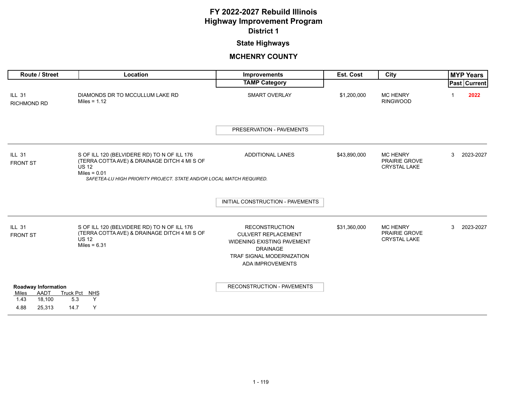## **State Highways**

| Route / Street                                                                  | Location                                                                                                                                                                                              | Improvements                                                                                                                                                        | Est. Cost    | City                                                           |   | <b>MYP Years</b>    |
|---------------------------------------------------------------------------------|-------------------------------------------------------------------------------------------------------------------------------------------------------------------------------------------------------|---------------------------------------------------------------------------------------------------------------------------------------------------------------------|--------------|----------------------------------------------------------------|---|---------------------|
|                                                                                 |                                                                                                                                                                                                       | <b>TAMP Category</b>                                                                                                                                                |              |                                                                |   | <b>Past Current</b> |
| <b>ILL 31</b><br><b>RICHMOND RD</b>                                             | DIAMONDS DR TO MCCULLUM LAKE RD<br>Miles = $1.12$                                                                                                                                                     | <b>SMART OVERLAY</b>                                                                                                                                                | \$1,200,000  | <b>MC HENRY</b><br><b>RINGWOOD</b>                             |   | 2022                |
|                                                                                 |                                                                                                                                                                                                       | PRESERVATION - PAVEMENTS                                                                                                                                            |              |                                                                |   |                     |
| <b>ILL 31</b><br><b>FRONT ST</b>                                                | S OF ILL 120 (BELVIDERE RD) TO N OF ILL 176<br>(TERRA COTTA AVE) & DRAINAGE DITCH 4 MI S OF<br><b>US 12</b><br>Miles = $0.01$<br>SAFETEA-LU HIGH PRIORITY PROJECT. STATE AND/OR LOCAL MATCH REQUIRED. | <b>ADDITIONAL LANES</b>                                                                                                                                             | \$43,890,000 | <b>MC HENRY</b><br><b>PRAIRIE GROVE</b><br><b>CRYSTAL LAKE</b> | 3 | 2023-2027           |
|                                                                                 |                                                                                                                                                                                                       |                                                                                                                                                                     |              |                                                                |   |                     |
|                                                                                 |                                                                                                                                                                                                       | INITIAL CONSTRUCTION - PAVEMENTS                                                                                                                                    |              |                                                                |   |                     |
| <b>ILL 31</b><br><b>FRONT ST</b>                                                | S OF ILL 120 (BELVIDERE RD) TO N OF ILL 176<br>(TERRA COTTA AVE) & DRAINAGE DITCH 4 MI S OF<br><b>US 12</b><br>Miles = $6.31$                                                                         | <b>RECONSTRUCTION</b><br><b>CULVERT REPLACEMENT</b><br><b>WIDENING EXISTING PAVEMENT</b><br><b>DRAINAGE</b><br><b>TRAF SIGNAL MODERNIZATION</b><br>ADA IMPROVEMENTS | \$31,360,000 | <b>MC HENRY</b><br><b>PRAIRIE GROVE</b><br><b>CRYSTAL LAKE</b> | 3 | 2023-2027           |
| <b>Roadway Information</b><br>AADT<br>Miles<br>18,100<br>1.43<br>4.88<br>25,313 | Truck Pct NHS<br>Y<br>5.3<br>Y<br>14.7                                                                                                                                                                | RECONSTRUCTION - PAVEMENTS                                                                                                                                          |              |                                                                |   |                     |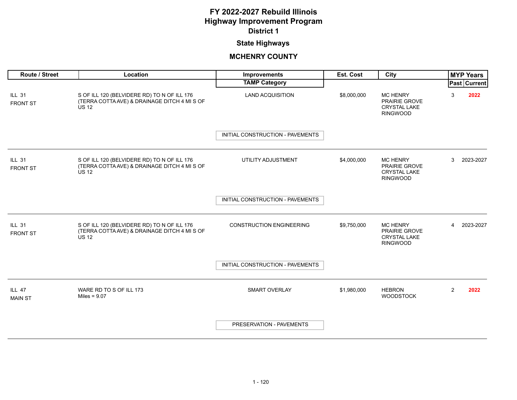# **State Highways**

| Route / Street                   | Location                                                                                                    | <b>Improvements</b>              | <b>Est. Cost</b> | City                                                                              |   | <b>MYP Years</b> |
|----------------------------------|-------------------------------------------------------------------------------------------------------------|----------------------------------|------------------|-----------------------------------------------------------------------------------|---|------------------|
|                                  |                                                                                                             | <b>TAMP Category</b>             |                  |                                                                                   |   | Past Current     |
| <b>ILL 31</b><br><b>FRONT ST</b> | S OF ILL 120 (BELVIDERE RD) TO N OF ILL 176<br>(TERRA COTTA AVE) & DRAINAGE DITCH 4 MI S OF<br><b>US 12</b> | <b>LAND ACQUISITION</b>          | \$8,000,000      | <b>MC HENRY</b><br>PRAIRIE GROVE<br><b>CRYSTAL LAKE</b><br><b>RINGWOOD</b>        | 3 | 2022             |
|                                  |                                                                                                             | INITIAL CONSTRUCTION - PAVEMENTS |                  |                                                                                   |   |                  |
| <b>ILL 31</b><br><b>FRONT ST</b> | S OF ILL 120 (BELVIDERE RD) TO N OF ILL 176<br>(TERRA COTTA AVE) & DRAINAGE DITCH 4 MI S OF<br><b>US 12</b> | UTILITY ADJUSTMENT               | \$4,000,000      | <b>MC HENRY</b><br>PRAIRIE GROVE<br><b>CRYSTAL LAKE</b><br><b>RINGWOOD</b>        | 3 | 2023-2027        |
|                                  |                                                                                                             | INITIAL CONSTRUCTION - PAVEMENTS |                  |                                                                                   |   |                  |
| <b>ILL 31</b><br><b>FRONT ST</b> | S OF ILL 120 (BELVIDERE RD) TO N OF ILL 176<br>(TERRA COTTA AVE) & DRAINAGE DITCH 4 MI S OF<br><b>US 12</b> | <b>CONSTRUCTION ENGINEERING</b>  | \$9,750,000      | <b>MC HENRY</b><br><b>PRAIRIE GROVE</b><br><b>CRYSTAL LAKE</b><br><b>RINGWOOD</b> | 4 | 2023-2027        |
|                                  |                                                                                                             | INITIAL CONSTRUCTION - PAVEMENTS |                  |                                                                                   |   |                  |
| <b>ILL 47</b><br><b>MAIN ST</b>  | WARE RD TO S OF ILL 173<br>Miles = $9.07$                                                                   | <b>SMART OVERLAY</b>             | \$1,980,000      | <b>HEBRON</b><br><b>WOODSTOCK</b>                                                 | 2 | 2022             |
|                                  |                                                                                                             | PRESERVATION - PAVEMENTS         |                  |                                                                                   |   |                  |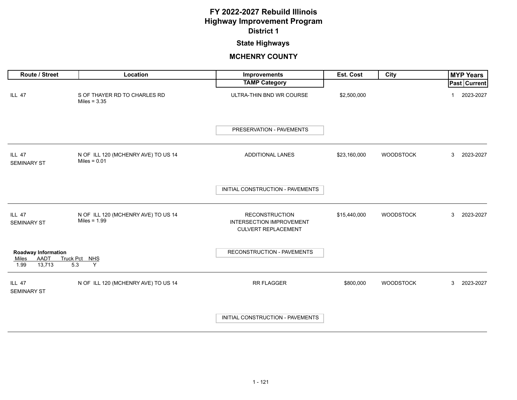## **State Highways**

| Route / Street                                         | Location                                              | Improvements                                                                           | Est. Cost    | <b>City</b>      | <b>MYP Years</b> |
|--------------------------------------------------------|-------------------------------------------------------|----------------------------------------------------------------------------------------|--------------|------------------|------------------|
|                                                        |                                                       | <b>TAMP Category</b>                                                                   |              |                  | Past Current     |
| <b>ILL 47</b>                                          | S OF THAYER RD TO CHARLES RD<br>Miles = $3.35$        | ULTRA-THIN BND WR COURSE                                                               | \$2,500,000  |                  | 2023-2027<br>-1  |
|                                                        |                                                       | PRESERVATION - PAVEMENTS                                                               |              |                  |                  |
| <b>ILL 47</b><br><b>SEMINARY ST</b>                    | N OF ILL 120 (MCHENRY AVE) TO US 14<br>Miles = $0.01$ | ADDITIONAL LANES                                                                       | \$23,160,000 | <b>WOODSTOCK</b> | 3<br>2023-2027   |
|                                                        |                                                       | INITIAL CONSTRUCTION - PAVEMENTS                                                       |              |                  |                  |
| <b>ILL 47</b><br><b>SEMINARY ST</b>                    | N OF ILL 120 (MCHENRY AVE) TO US 14<br>Miles = $1.99$ | <b>RECONSTRUCTION</b><br><b>INTERSECTION IMPROVEMENT</b><br><b>CULVERT REPLACEMENT</b> | \$15,440,000 | <b>WOODSTOCK</b> | 3<br>2023-2027   |
| Roadway Information<br>AADT<br>Miles<br>13,713<br>1.99 | Truck Pct NHS<br>5.3<br>Y                             | <b>RECONSTRUCTION - PAVEMENTS</b>                                                      |              |                  |                  |
| <b>ILL 47</b><br><b>SEMINARY ST</b>                    | N OF ILL 120 (MCHENRY AVE) TO US 14                   | <b>RR FLAGGER</b>                                                                      | \$800,000    | <b>WOODSTOCK</b> | 3<br>2023-2027   |
|                                                        |                                                       | INITIAL CONSTRUCTION - PAVEMENTS                                                       |              |                  |                  |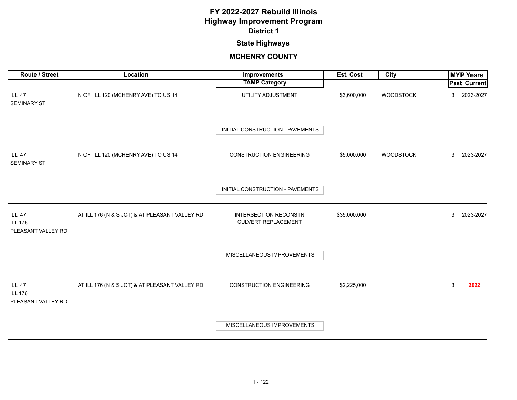# **State Highways**

| Route / Street                                        | Location                                       | <b>Improvements</b>                                        | Est. Cost    | <b>City</b>      | <b>MYP Years</b> |
|-------------------------------------------------------|------------------------------------------------|------------------------------------------------------------|--------------|------------------|------------------|
|                                                       |                                                | <b>TAMP Category</b>                                       |              |                  | Past Current     |
| <b>ILL 47</b><br><b>SEMINARY ST</b>                   | N OF ILL 120 (MCHENRY AVE) TO US 14            | UTILITY ADJUSTMENT                                         | \$3,600,000  | <b>WOODSTOCK</b> | 2023-2027<br>3   |
|                                                       |                                                | INITIAL CONSTRUCTION - PAVEMENTS                           |              |                  |                  |
| <b>ILL 47</b><br><b>SEMINARY ST</b>                   | N OF ILL 120 (MCHENRY AVE) TO US 14            | <b>CONSTRUCTION ENGINEERING</b>                            | \$5,000,000  | <b>WOODSTOCK</b> | 3<br>2023-2027   |
|                                                       |                                                | INITIAL CONSTRUCTION - PAVEMENTS                           |              |                  |                  |
| <b>ILL 47</b><br><b>ILL 176</b><br>PLEASANT VALLEY RD | AT ILL 176 (N & S JCT) & AT PLEASANT VALLEY RD | <b>INTERSECTION RECONSTN</b><br><b>CULVERT REPLACEMENT</b> | \$35,000,000 |                  | 3<br>2023-2027   |
|                                                       |                                                | MISCELLANEOUS IMPROVEMENTS                                 |              |                  |                  |
| <b>ILL 47</b><br><b>ILL 176</b><br>PLEASANT VALLEY RD | AT ILL 176 (N & S JCT) & AT PLEASANT VALLEY RD | <b>CONSTRUCTION ENGINEERING</b>                            | \$2,225,000  |                  | 3<br>2022        |
|                                                       |                                                | MISCELLANEOUS IMPROVEMENTS                                 |              |                  |                  |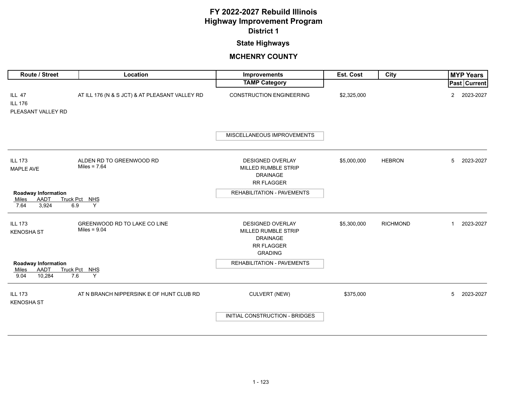## **State Highways**

| Route / Street                                                | Location                                       | Improvements                                                                                      | Est. Cost   | City            | <b>MYP Years</b>            |
|---------------------------------------------------------------|------------------------------------------------|---------------------------------------------------------------------------------------------------|-------------|-----------------|-----------------------------|
|                                                               |                                                | <b>TAMP Category</b>                                                                              |             |                 | Past Current                |
| <b>ILL 47</b><br><b>ILL 176</b><br>PLEASANT VALLEY RD         | AT ILL 176 (N & S JCT) & AT PLEASANT VALLEY RD | <b>CONSTRUCTION ENGINEERING</b>                                                                   | \$2,325,000 |                 | 2023-2027<br>$\overline{2}$ |
|                                                               |                                                | MISCELLANEOUS IMPROVEMENTS                                                                        |             |                 |                             |
| <b>ILL 173</b><br><b>MAPLE AVE</b>                            | ALDEN RD TO GREENWOOD RD<br>Miles = $7.64$     | <b>DESIGNED OVERLAY</b><br>MILLED RUMBLE STRIP<br><b>DRAINAGE</b><br>RR FLAGGER                   | \$5,000,000 | <b>HEBRON</b>   | 5<br>2023-2027              |
| Roadway Information<br>AADT<br>Miles<br>3,924<br>6.9<br>7.64  | Truck Pct NHS<br>Y                             | <b>REHABILITATION - PAVEMENTS</b>                                                                 |             |                 |                             |
| <b>ILL 173</b><br><b>KENOSHA ST</b>                           | GREENWOOD RD TO LAKE CO LINE<br>Miles = $9.04$ | DESIGNED OVERLAY<br>MILLED RUMBLE STRIP<br><b>DRAINAGE</b><br><b>RR FLAGGER</b><br><b>GRADING</b> | \$5,300,000 | <b>RICHMOND</b> | 2023-2027<br>$\mathbf{1}$   |
| Roadway Information<br>AADT<br>Miles<br>7.6<br>9.04<br>10,284 | Truck Pct NHS<br>Y                             | REHABILITATION - PAVEMENTS                                                                        |             |                 |                             |
| <b>ILL 173</b><br><b>KENOSHA ST</b>                           | AT N BRANCH NIPPERSINK E OF HUNT CLUB RD       | <b>CULVERT (NEW)</b>                                                                              | \$375,000   |                 | 5<br>2023-2027              |
|                                                               |                                                | INITIAL CONSTRUCTION - BRIDGES                                                                    |             |                 |                             |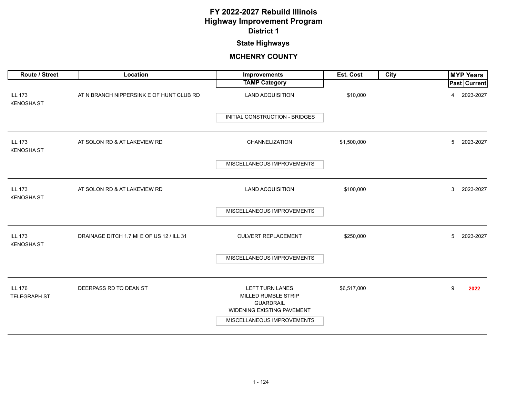## **State Highways**

| Route / Street                      | Location                                  | Improvements                                                                                                                  | Est. Cost   | City | <b>MYP Years</b>    |
|-------------------------------------|-------------------------------------------|-------------------------------------------------------------------------------------------------------------------------------|-------------|------|---------------------|
|                                     |                                           | <b>TAMP Category</b>                                                                                                          |             |      | <b>Past Current</b> |
| <b>ILL 173</b><br><b>KENOSHA ST</b> | AT N BRANCH NIPPERSINK E OF HUNT CLUB RD  | <b>LAND ACQUISITION</b>                                                                                                       | \$10,000    |      | 2023-2027<br>4      |
|                                     |                                           | INITIAL CONSTRUCTION - BRIDGES                                                                                                |             |      |                     |
| <b>ILL 173</b><br><b>KENOSHA ST</b> | AT SOLON RD & AT LAKEVIEW RD              | CHANNELIZATION                                                                                                                | \$1,500,000 |      | 5<br>2023-2027      |
|                                     |                                           | MISCELLANEOUS IMPROVEMENTS                                                                                                    |             |      |                     |
| <b>ILL 173</b><br><b>KENOSHA ST</b> | AT SOLON RD & AT LAKEVIEW RD              | <b>LAND ACQUISITION</b>                                                                                                       | \$100,000   |      | 3<br>2023-2027      |
|                                     |                                           | MISCELLANEOUS IMPROVEMENTS                                                                                                    |             |      |                     |
| <b>ILL 173</b><br><b>KENOSHA ST</b> | DRAINAGE DITCH 1.7 MI E OF US 12 / ILL 31 | <b>CULVERT REPLACEMENT</b>                                                                                                    | \$250,000   |      | 2023-2027<br>5      |
|                                     |                                           | MISCELLANEOUS IMPROVEMENTS                                                                                                    |             |      |                     |
| <b>ILL 176</b><br>TELEGRAPH ST      | DEERPASS RD TO DEAN ST                    | <b>LEFT TURN LANES</b><br>MILLED RUMBLE STRIP<br><b>GUARDRAIL</b><br>WIDENING EXISTING PAVEMENT<br>MISCELLANEOUS IMPROVEMENTS | \$6,517,000 |      | 9<br>2022           |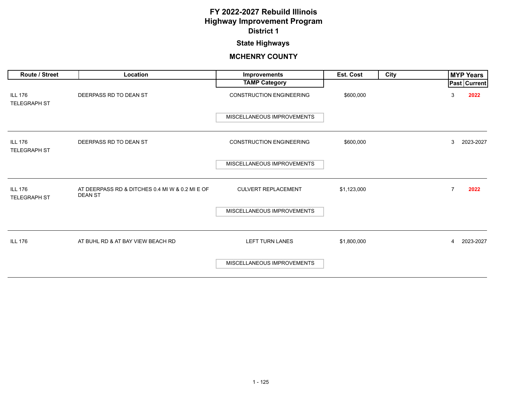## **State Highways**

| Route / Street                        | Location                                                          | Improvements                    | Est. Cost   | City |                | <b>MYP Years</b> |
|---------------------------------------|-------------------------------------------------------------------|---------------------------------|-------------|------|----------------|------------------|
|                                       |                                                                   | <b>TAMP Category</b>            |             |      |                | Past Current     |
| <b>ILL 176</b><br><b>TELEGRAPH ST</b> | DEERPASS RD TO DEAN ST                                            | <b>CONSTRUCTION ENGINEERING</b> | \$600,000   |      | 3              | 2022             |
|                                       |                                                                   | MISCELLANEOUS IMPROVEMENTS      |             |      |                |                  |
| <b>ILL 176</b><br><b>TELEGRAPH ST</b> | DEERPASS RD TO DEAN ST                                            | <b>CONSTRUCTION ENGINEERING</b> | \$600,000   |      | 3              | 2023-2027        |
|                                       |                                                                   | MISCELLANEOUS IMPROVEMENTS      |             |      |                |                  |
| <b>ILL 176</b><br><b>TELEGRAPH ST</b> | AT DEERPASS RD & DITCHES 0.4 MI W & 0.2 MI E OF<br><b>DEAN ST</b> | <b>CULVERT REPLACEMENT</b>      | \$1,123,000 |      | $\overline{7}$ | 2022             |
|                                       |                                                                   | MISCELLANEOUS IMPROVEMENTS      |             |      |                |                  |
| <b>ILL 176</b>                        | AT BUHL RD & AT BAY VIEW BEACH RD                                 | <b>LEFT TURN LANES</b>          | \$1,800,000 |      | $\overline{4}$ | 2023-2027        |
|                                       |                                                                   | MISCELLANEOUS IMPROVEMENTS      |             |      |                |                  |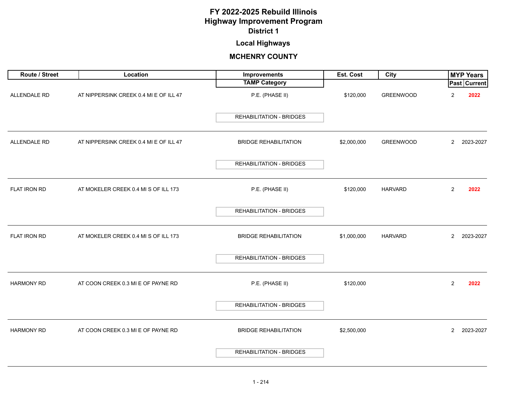# **Local Highways**

<span id="page-10-0"></span>

| Route / Street      | Location                               | Improvements                    | Est. Cost   | City             | <b>MYP Years</b>     |           |
|---------------------|----------------------------------------|---------------------------------|-------------|------------------|----------------------|-----------|
|                     |                                        | <b>TAMP Category</b>            |             |                  | <b>Past Current</b>  |           |
| <b>ALLENDALE RD</b> | AT NIPPERSINK CREEK 0.4 MI E OF ILL 47 | P.E. (PHASE II)                 | \$120,000   | <b>GREENWOOD</b> | 2                    | 2022      |
|                     |                                        | <b>REHABILITATION - BRIDGES</b> |             |                  |                      |           |
| ALLENDALE RD        | AT NIPPERSINK CREEK 0.4 MI E OF ILL 47 | <b>BRIDGE REHABILITATION</b>    | \$2,000,000 | <b>GREENWOOD</b> | $\mathbf{2}^{\circ}$ | 2023-2027 |
|                     |                                        | REHABILITATION - BRIDGES        |             |                  |                      |           |
| FLAT IRON RD        | AT MOKELER CREEK 0.4 MI S OF ILL 173   | P.E. (PHASE II)                 | \$120,000   | <b>HARVARD</b>   | $\overline{2}$       | 2022      |
|                     |                                        | <b>REHABILITATION - BRIDGES</b> |             |                  |                      |           |
| FLAT IRON RD        | AT MOKELER CREEK 0.4 MI S OF ILL 173   | <b>BRIDGE REHABILITATION</b>    | \$1,000,000 | <b>HARVARD</b>   | $\mathbf{2}$         | 2023-2027 |
|                     |                                        | <b>REHABILITATION - BRIDGES</b> |             |                  |                      |           |
| <b>HARMONY RD</b>   | AT COON CREEK 0.3 MI E OF PAYNE RD     | P.E. (PHASE II)                 | \$120,000   |                  | $\overline{2}$       | 2022      |
|                     |                                        | <b>REHABILITATION - BRIDGES</b> |             |                  |                      |           |
| <b>HARMONY RD</b>   | AT COON CREEK 0.3 MI E OF PAYNE RD     | <b>BRIDGE REHABILITATION</b>    | \$2,500,000 |                  | $\overline{2}$       | 2023-2027 |
|                     |                                        | <b>REHABILITATION - BRIDGES</b> |             |                  |                      |           |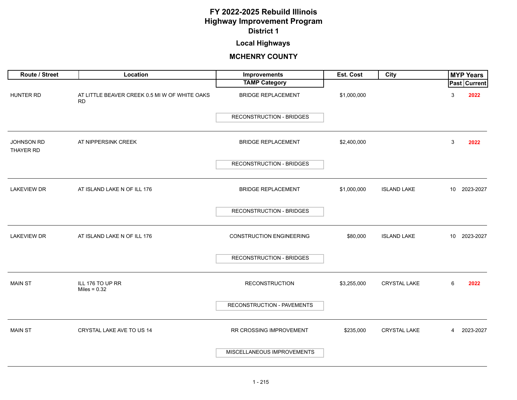## **Local Highways**

| Route / Street          | Location                                                   | Improvements                    | Est. Cost   | City                |                 | <b>MYP Years</b>    |
|-------------------------|------------------------------------------------------------|---------------------------------|-------------|---------------------|-----------------|---------------------|
|                         |                                                            | <b>TAMP Category</b>            |             |                     |                 | <b>Past Current</b> |
| HUNTER RD               | AT LITTLE BEAVER CREEK 0.5 MI W OF WHITE OAKS<br><b>RD</b> | <b>BRIDGE REPLACEMENT</b>       | \$1,000,000 |                     | 3               | 2022                |
|                         |                                                            | <b>RECONSTRUCTION - BRIDGES</b> |             |                     |                 |                     |
| JOHNSON RD<br>THAYER RD | AT NIPPERSINK CREEK                                        | <b>BRIDGE REPLACEMENT</b>       | \$2,400,000 |                     | 3               | 2022                |
|                         |                                                            | <b>RECONSTRUCTION - BRIDGES</b> |             |                     |                 |                     |
| <b>LAKEVIEW DR</b>      | AT ISLAND LAKE N OF ILL 176                                | <b>BRIDGE REPLACEMENT</b>       | \$1,000,000 | <b>ISLAND LAKE</b>  | 10              | 2023-2027           |
|                         |                                                            | <b>RECONSTRUCTION - BRIDGES</b> |             |                     |                 |                     |
| <b>LAKEVIEW DR</b>      | AT ISLAND LAKE N OF ILL 176                                | <b>CONSTRUCTION ENGINEERING</b> | \$80,000    | <b>ISLAND LAKE</b>  | 10 <sub>1</sub> | 2023-2027           |
|                         |                                                            | <b>RECONSTRUCTION - BRIDGES</b> |             |                     |                 |                     |
| <b>MAIN ST</b>          | ILL 176 TO UP RR<br>Miles = $0.32$                         | <b>RECONSTRUCTION</b>           | \$3,255,000 | <b>CRYSTAL LAKE</b> | 6               | 2022                |
|                         |                                                            | RECONSTRUCTION - PAVEMENTS      |             |                     |                 |                     |
| <b>MAIN ST</b>          | CRYSTAL LAKE AVE TO US 14                                  | RR CROSSING IMPROVEMENT         | \$235,000   | <b>CRYSTAL LAKE</b> | 4               | 2023-2027           |
|                         |                                                            | MISCELLANEOUS IMPROVEMENTS      |             |                     |                 |                     |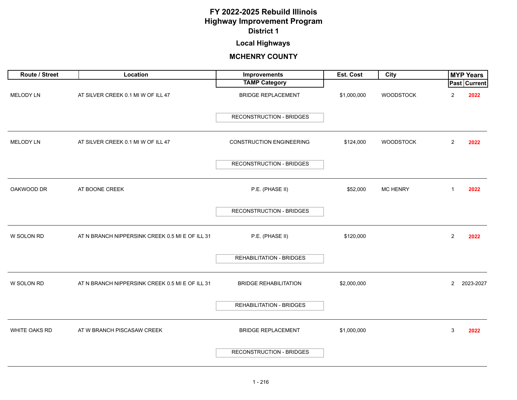# **Local Highways**

| Route / Street   | Location                                        | Improvements                    | Est. Cost   | City             |                | <b>MYP Years</b>    |
|------------------|-------------------------------------------------|---------------------------------|-------------|------------------|----------------|---------------------|
|                  |                                                 | <b>TAMP Category</b>            |             |                  |                | <b>Past Current</b> |
| <b>MELODY LN</b> | AT SILVER CREEK 0.1 MI W OF ILL 47              | <b>BRIDGE REPLACEMENT</b>       | \$1,000,000 | <b>WOODSTOCK</b> | 2              | 2022                |
|                  |                                                 | <b>RECONSTRUCTION - BRIDGES</b> |             |                  |                |                     |
| MELODY LN        | AT SILVER CREEK 0.1 MI W OF ILL 47              | <b>CONSTRUCTION ENGINEERING</b> | \$124,000   | <b>WOODSTOCK</b> | $\overline{2}$ | 2022                |
|                  |                                                 | <b>RECONSTRUCTION - BRIDGES</b> |             |                  |                |                     |
| OAKWOOD DR       | AT BOONE CREEK                                  | P.E. (PHASE II)                 | \$52,000    | <b>MC HENRY</b>  | 1              | 2022                |
|                  |                                                 | RECONSTRUCTION - BRIDGES        |             |                  |                |                     |
| W SOLON RD       | AT N BRANCH NIPPERSINK CREEK 0.5 MI E OF ILL 31 | P.E. (PHASE II)                 | \$120,000   |                  | $\overline{2}$ | 2022                |
|                  |                                                 | <b>REHABILITATION - BRIDGES</b> |             |                  |                |                     |
| W SOLON RD       | AT N BRANCH NIPPERSINK CREEK 0.5 MI E OF ILL 31 | <b>BRIDGE REHABILITATION</b>    | \$2,000,000 |                  | $\overline{2}$ | 2023-2027           |
|                  |                                                 | <b>REHABILITATION - BRIDGES</b> |             |                  |                |                     |
| WHITE OAKS RD    | AT W BRANCH PISCASAW CREEK                      | <b>BRIDGE REPLACEMENT</b>       | \$1,000,000 |                  | 3              | 2022                |
|                  |                                                 | <b>RECONSTRUCTION - BRIDGES</b> |             |                  |                |                     |